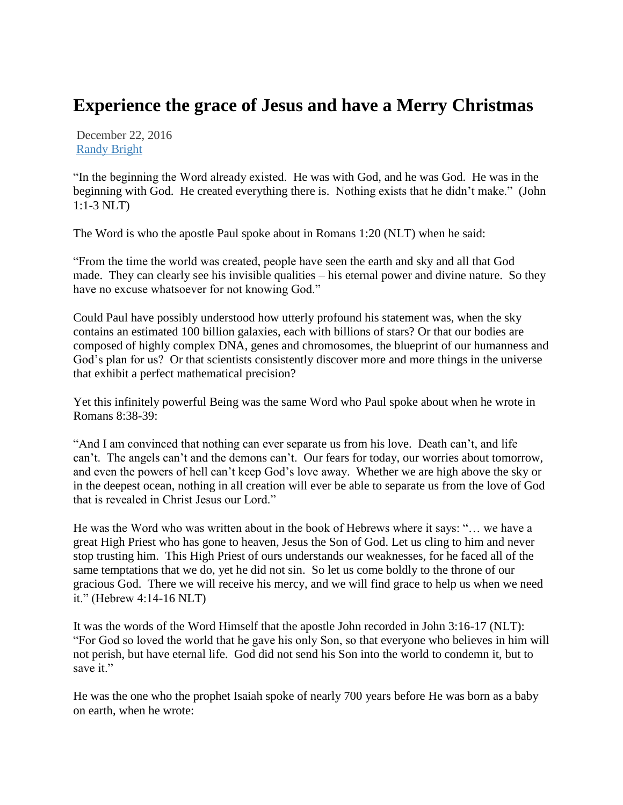## **Experience the grace of Jesus and have a Merry Christmas**

December 22, 2016 [Randy Bright](http://tulsabeacon.com/author/randy-bright/)

"In the beginning the Word already existed. He was with God, and he was God. He was in the beginning with God. He created everything there is. Nothing exists that he didn't make." (John 1:1-3 NLT)

The Word is who the apostle Paul spoke about in Romans 1:20 (NLT) when he said:

"From the time the world was created, people have seen the earth and sky and all that God made. They can clearly see his invisible qualities – his eternal power and divine nature. So they have no excuse whatsoever for not knowing God."

Could Paul have possibly understood how utterly profound his statement was, when the sky contains an estimated 100 billion galaxies, each with billions of stars? Or that our bodies are composed of highly complex DNA, genes and chromosomes, the blueprint of our humanness and God's plan for us? Or that scientists consistently discover more and more things in the universe that exhibit a perfect mathematical precision?

Yet this infinitely powerful Being was the same Word who Paul spoke about when he wrote in Romans 8:38-39:

"And I am convinced that nothing can ever separate us from his love. Death can't, and life can't. The angels can't and the demons can't. Our fears for today, our worries about tomorrow, and even the powers of hell can't keep God's love away. Whether we are high above the sky or in the deepest ocean, nothing in all creation will ever be able to separate us from the love of God that is revealed in Christ Jesus our Lord."

He was the Word who was written about in the book of Hebrews where it says: "… we have a great High Priest who has gone to heaven, Jesus the Son of God. Let us cling to him and never stop trusting him. This High Priest of ours understands our weaknesses, for he faced all of the same temptations that we do, yet he did not sin. So let us come boldly to the throne of our gracious God. There we will receive his mercy, and we will find grace to help us when we need it." (Hebrew 4:14-16 NLT)

It was the words of the Word Himself that the apostle John recorded in John 3:16-17 (NLT): "For God so loved the world that he gave his only Son, so that everyone who believes in him will not perish, but have eternal life. God did not send his Son into the world to condemn it, but to save it."

He was the one who the prophet Isaiah spoke of nearly 700 years before He was born as a baby on earth, when he wrote: